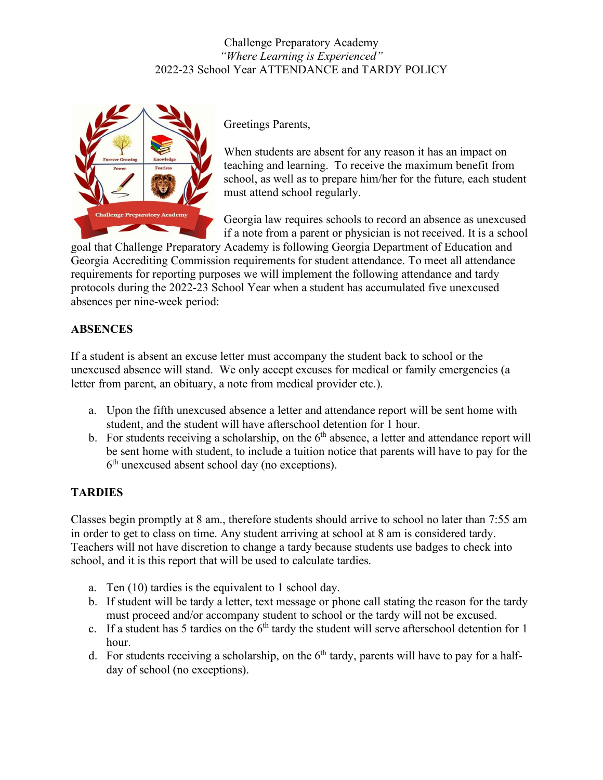

Greetings Parents,

When students are absent for any reason it has an impact on teaching and learning. To receive the maximum benefit from school, as well as to prepare him/her for the future, each student must attend school regularly.

Georgia law requires schools to record an absence as unexcused if a note from a parent or physician is not received. It is a school

goal that Challenge Preparatory Academy is following Georgia Department of Education and Georgia Accrediting Commission requirements for student attendance. To meet all attendance requirements for reporting purposes we will implement the following attendance and tardy protocols during the 2022-23 School Year when a student has accumulated five unexcused absences per nine-week period:

## **ABSENCES**

If a student is absent an excuse letter must accompany the student back to school or the unexcused absence will stand. We only accept excuses for medical or family emergencies (a letter from parent, an obituary, a note from medical provider etc.).

- a. Upon the fifth unexcused absence a letter and attendance report will be sent home with student, and the student will have afterschool detention for 1 hour.
- b. For students receiving a scholarship, on the  $6<sup>th</sup>$  absence, a letter and attendance report will be sent home with student, to include a tuition notice that parents will have to pay for the  $6<sup>th</sup>$  unexcused absent school day (no exceptions).

# **TARDIES**

Classes begin promptly at 8 am., therefore students should arrive to school no later than 7:55 am in order to get to class on time. Any student arriving at school at 8 am is considered tardy. Teachers will not have discretion to change a tardy because students use badges to check into school, and it is this report that will be used to calculate tardies.

- a. Ten (10) tardies is the equivalent to 1 school day.
- b. If student will be tardy a letter, text message or phone call stating the reason for the tardy must proceed and/or accompany student to school or the tardy will not be excused.
- c. If a student has 5 tardies on the  $6<sup>th</sup>$  tardy the student will serve afterschool detention for 1 hour.
- d. For students receiving a scholarship, on the  $6<sup>th</sup>$  tardy, parents will have to pay for a halfday of school (no exceptions).